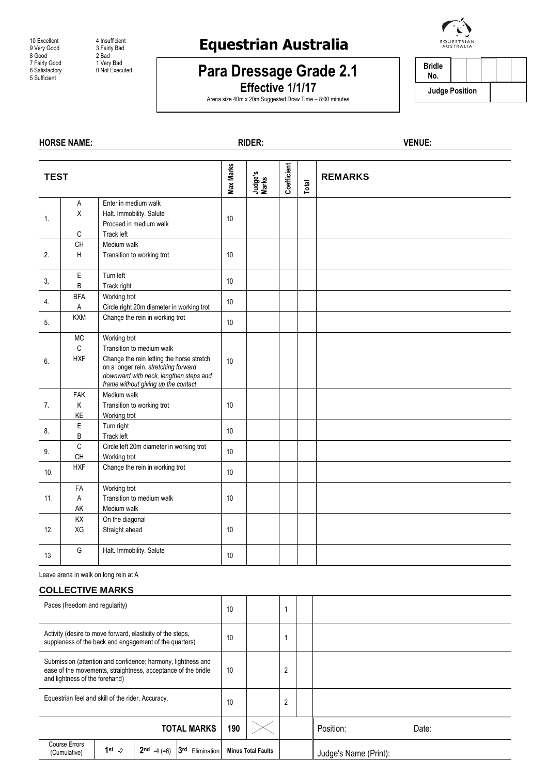9 Very Good 3 Fairly<br>8 Good 2 Bad 8 Good 2 Bad 7 Fairly Good 1 Very Bad

10 Excellent 4 Insufficient<br>9 Very Good 3 Fairly Bad Final Construction<br>
The Satisfactory<br>
6 Satisfactory<br>
5 Sufficient<br>
2 Not Executed<br>
5 Sufficient

## **Equestrian Australia**

## **Para Dressage Grade 2.1**

**Effective 1/1/17** Arena size 40m x 20m Suggested Draw Time – 8:00 minutes



**Bridle No. Judge Position**

## **HORSE NAME: RIDER: VENUE: TEST Max Marks Judge's Marks Coefficient Total REMARKS** 1. A X C Enter in medium walk Halt. Immobility. Salute Proceed in medium walk Track left 10 2. CH H Medium walk Transition to working trot 10 3.  $\begin{matrix} \end{matrix}$  E B Turn left Track right 10 4. BFA A Working trot Exponsing trock<br>Circle right 20m diameter in working trot  $\begin{array}{|c|c|c|c|}\n\hline\n5. & & \text{KXM} & \text{Change the rein in working trot} \\
\hline\n\end{array}$  10 6. MC C HXF Working trot Transition to medium walk Change the rein letting the horse stretch on a longer rein. *stretching forward downward with neck, lengthen steps and frame without giving up the contact* 10 7. FAK K KE Medium walk Transition to working trot Working trot 10 8. E B Turn right Track left 10 9. <sup>C</sup> CH Circle left 20m diameter in working trot Vorking trot view and the motion of the 10 10. HXF Change the rein in working trot 11. FA A AK Working trot Transition to medium walk Medium walk 10 12. KX XG On the diagonal Straight ahead 10 13 G Halt. Immobility. Salute 10

Leave arena in walk on long rein at A

## **COLLECTIVE MARKS**

| Paces (freedom and regularity)                                                                                                                                  |            |                              |                    | 10  |                           |                |                       |       |
|-----------------------------------------------------------------------------------------------------------------------------------------------------------------|------------|------------------------------|--------------------|-----|---------------------------|----------------|-----------------------|-------|
| Activity (desire to move forward, elasticity of the steps,<br>suppleness of the back and engagement of the quarters)                                            |            |                              |                    | 10  |                           |                |                       |       |
| Submission (attention and confidence; harmony, lightness and<br>ease of the movements, straightness, acceptance of the bridle<br>and lightness of the forehand) |            |                              | 10                 |     | 2                         |                |                       |       |
| Equestrian feel and skill of the rider. Accuracy.                                                                                                               |            |                              |                    | 10  |                           | $\overline{2}$ |                       |       |
| <b>TOTAL MARKS</b>                                                                                                                                              |            |                              |                    | 190 |                           |                | Position:             | Date: |
| Course Errors<br>(Cumulative)                                                                                                                                   | $1st_{-2}$ | 2 <sub>nd</sub><br>$-4 (=6)$ | 3rd<br>Elimination |     | <b>Minus Total Faults</b> |                | Judge's Name (Print): |       |